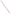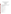#### **DEMONSTRATION PLAN FOR THE EVALUATION OF FIELD-TRANSPORTABLE GAS CHROMATOGRAPHY/MASS SPECTROSCOPY TECHNOLOGIES**

Environmental Technology Evaluation Program Consortium for Site Characterization Technologies

> Sponsored by: U.S. Environmental Protection Agency National Exposure Research Laboratory Characterization Research Division Las Vegas, Nevada

#### APPROVAL SIGNATURES

This document is intended to ensure that all aspects of the demonstration are documented, scientifically sound, and that operational procedures are conducted within quality assurance and quality control specifications and health and safety regulations.

The signatures of the individuals below indicate concurrence with, and agreement to operate in compliance with, procedures specified in this document.

FINAL DEMONSTRATION PLAN

Art Verardo, Sandia National Laboratories Date Project Manager

Grace Bujewski, Sandia National Laboratories Date Project Leader

\_\_\_\_\_\_\_\_\_\_\_\_\_\_\_\_\_\_\_\_\_\_\_\_\_\_\_\_\_\_\_\_\_\_\_\_\_\_\_\_\_\_\_\_\_\_\_\_\_

\_\_\_\_\_\_\_\_\_\_\_\_\_\_\_\_\_\_\_\_\_\_\_\_\_\_\_\_\_\_\_\_\_\_\_\_\_\_\_\_\_\_\_\_\_\_\_\_\_

\_\_\_\_\_\_\_\_\_\_\_\_\_\_\_\_\_\_\_\_\_\_\_\_\_\_\_\_\_\_\_\_\_\_\_\_\_\_\_\_\_\_\_\_\_\_\_\_\_

\_\_\_\_\_\_\_\_\_\_\_\_\_\_\_\_\_\_\_\_\_\_\_\_\_\_\_\_\_\_\_\_\_\_\_\_\_\_\_\_\_\_\_\_\_\_\_\_\_

\_\_\_\_\_\_\_\_\_\_\_\_\_\_\_\_\_\_\_\_\_\_\_\_\_\_\_\_\_\_\_\_\_\_\_\_\_\_\_\_\_\_\_\_\_\_\_\_\_

\_\_\_\_\_\_\_\_\_\_\_\_\_\_\_\_\_\_\_\_\_\_\_\_\_\_\_\_\_\_\_\_\_\_\_\_\_\_\_\_\_\_\_\_\_\_\_\_\_

\_\_\_\_\_\_\_\_\_\_\_\_\_\_\_\_\_\_\_\_\_\_\_\_\_\_\_\_\_\_\_\_\_\_\_\_\_\_\_\_\_\_\_\_\_\_

\_\_\_\_\_\_\_\_\_\_\_\_\_\_\_\_\_\_\_\_\_\_\_\_\_\_\_\_\_\_\_\_\_\_\_\_\_\_\_\_\_\_\_\_\_\_

Susan Bender, Sandia National Laboratories Date Technical Lead

Gary Brown, Sandia National Laboratories Date QA/QC Officer

Bob Helgesen, Sandia National Laboratories Date Field Operations Coordinator

Stephen Billets, EPA NERL-CRD-LV Date Program Manager

Eric Koglin, EPA NERL-CRD-LV Date Program Manager

Gary Robertson, EPA NERL-CRD-LV Date Technical Lead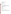\_\_\_\_\_\_\_\_\_\_\_\_\_\_\_\_\_\_\_\_\_\_\_\_\_\_\_\_\_\_\_\_\_\_\_\_\_\_\_\_\_\_\_\_\_\_\_\_\_ Mike Barcelona, National Center for Bioremediation Date Research and Development, University of Michigan, Ann Arbor

\_\_\_\_\_\_\_\_\_\_\_\_\_\_\_\_\_\_\_\_\_\_\_\_\_\_\_\_\_\_\_\_\_\_\_\_\_\_\_\_\_\_\_\_\_\_\_\_\_

\_\_\_\_\_\_\_\_\_\_\_\_\_\_\_\_\_\_\_\_\_\_\_\_\_\_\_\_\_\_\_\_\_\_\_\_\_\_\_\_\_\_\_\_\_\_\_\_\_

\_\_\_\_\_\_\_\_\_\_\_\_\_\_\_\_\_\_\_\_\_\_\_\_\_\_\_\_\_\_\_\_\_\_\_\_\_\_\_\_\_\_\_\_\_\_\_\_\_

\_\_\_\_\_\_\_\_\_\_\_\_\_\_\_\_\_\_\_\_\_\_\_\_\_\_\_\_\_\_\_\_\_\_\_\_\_\_\_\_\_\_\_\_\_\_

\_\_\_\_\_\_\_\_\_\_\_\_\_\_\_\_\_\_\_\_\_\_\_\_\_\_\_\_\_\_\_\_\_\_\_\_\_\_\_\_\_\_\_\_\_\_

\_\_\_\_\_\_\_\_\_\_\_\_\_\_\_\_\_\_\_\_\_\_\_\_\_\_\_\_\_\_\_\_\_\_\_\_\_\_\_\_\_\_\_\_\_\_

Mike Lee, Wurtsmith AFB Date Site Demonstration Safety Officer

Mark Henry, Wurtsmith AFB Date Site Manager

Joe Rossabi, Westinghouse Savannah River Date Site Safety Officer

# APPROVAL SIGNATURES

The signatures of the developers below indicate that they have reviewed the experimental design of the demonstration plan and agree that the design will fairly represent and evaluate the developer's claims regarding performance of their technologies.

The signatures of the individuals below indicate concurrence with, and agreement to operate in compliance with procedures specified in this document.

FINAL DEMONSTRATION PLAN

Dr. Jochen Franzen Date Bruker-Franzen Analytic

Rich Yelton Date Teledyne Electronic Technologies

Lisa White Date Viking Instruments Corporation

ACKNOWLEDGMENTS

The EPA gratefully acknowledges the efforts and technical expertise of Susan Bender, SNL, and Gary Robertson, NERL CRD-LV, in drafting, planning and coordinating this document. Special thanks to Cecilia Diniz, a student at Bryn Mawr College, for editing and making significant contributions in the preparation of this document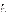## **CONTENTS**

## [APPROVAL SIGNATURES](http://www.epa.gov/etv/pdfs/testplan/gcmsdpl.htm#approval) [ACKNOWLEDGMENTS](http://www.epa.gov/etv/pdfs/testplan/gcmsdpl.htm#acknowl) [EXECUTIVE SUMMARY](http://www.epa.gov/etv/pdfs/testplan/gcmsdpl.htm#execsumm) [ABBREVIATIONS AND ACRONYMS](http://www.epa.gov/etv/pdfs/testplan/gcmsdpl.htm#abbrev)

#### [1.0 INTRODUCTION](http://www.epa.gov/etv/pdfs/testplan/ch01.htm)

- 1.1 Demonstration Purpose
- 1.2 Consortium Overview
- 1.3 Selecting Technologies
- 1.4 Demonstrating Technologies
- 1.5 Evaluating Technologie
- 1.6 Demonstration Sites
- 1.7 Demonstration Schedule
- 1.8 Demonstration Participants

# [2.0 DEMONSTRATION RESPONSIBILITIES AND COMMUNICATION](http://www.epa.gov/etv/pdfs/testplan/ch02.htm)

- 2.1 Demonstration Participants Roles
- 2.2 Responsibilities
- 2.3 Communication

### [3.0 PREDEMONSTRATION ACTIVITIES](http://www.epa.gov/etv/pdfs/testplan/ch03.htm)

- 3.1 Selecting Sites
- 3.2 Selecting Confirmatory Laboratory and Analytical Methods
- 3.3 Predemonstration Sampling and Analysis
- [4.0 TECHNOLOGY DESCRIPTION](http://www.epa.gov/etv/pdfs/testplan/ch04.htm)

#### [5.0 DEMONSTRATION SITE DESCRIPTIONS](http://www.epa.gov/etv/pdfs/testplan/ch05.htm)

- 5.1 Site Name and Location-SRS
- 5.2 Site Name and Location-WAFB

#### [6.0 SAMPLING PLAN](http://www.epa.gov/etv/pdfs/testplan/ch06.htm)

- 6.1 Overview of Sampling Operations-SRS
- 6.2 Overview of Sampling Operations-WAFB
- 6.3 Communications, Documentation, Logistics, and Equipment

### [7.0 EXPERIMENTAL DESIGN](http://www.epa.gov/etv/pdfs/testplan/ch07.htm)

- 7.1 Vendor Claims
- 7.2 Objectives
- 7.3 Factors to be Considered
- 7.4 Sampling Design
- 7.5 Statistical Analysis

#### [8.0 QUALITY ASSURANCE PROJECT PLAN](http://www.epa.gov/etv/pdfs/testplan/ch08.htm)

- 8.1 Purpose and Scope
- 8.2 Quality Assurance Responsibilities
- 8.3 Data Quality Parameters
- 8.4 Calibration Procedures, Quality Control Checks, Corrective Action
- 8.5 Data Reduction, Validation, and Reporting
- 8.6 Calculation of Data Quality Indicators
- 8.7 Performance and System Audits
- 8.8 Quality Assurance Reports to Management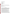## [9.0 DATA MANAGEMENT AND ANALYSIS](http://www.epa.gov/etv/pdfs/testplan/ch09.htm)

### [10.0 HEALTH AND SAFETY PLAN-SRS](http://www.epa.gov/etv/pdfs/testplan/ch10.htm)

### [11.0 HEALTH AND SAFETY PLAN-WAFB](http://www.epa.gov/etv/pdfs/testplan/ch11.htm)

[12.0 DELIVERABLES](http://www.epa.gov/etv/pdfs/testplan/ch12.htm) 12.1 Demonstration Plan 12.2 Technology Evaluation Report 12.3 Innovative Technology Evaluation Report 12.4 Technology Briefs 12.5 Other Reports

Appendices (not available)

Appendix A Method 8260: Gas Chromatography/Mass Spectrometry for Volatile Organics: Capillary Column **Technique** 

#### Appendix B

Standard Operating Procedures for Summa Canister Analysis Using EPA Compendium Method TO-14: The Determination of Volatile Organic Compounds in Ambient Air Using Summa Passivated Canister Sampling and GC/MS Analysis

Appendix C NCIBRD Chain-of-Custody Procedures (Figures 1-5)

Appendix D Commerce Business Daily Notice

# **EXECUTIVE SUMMARY**

The purpose of this document is to provide a strategy for collecting data that can be used to fairly and thoroughly evaluate the performance of field transportable GC/MS technologies for measuring volatile organic compounds in soil, soil gas and ground water. This demonstration is being conducted under the auspices of the Consortium for Site Characterization Technology (CSCT). The planning and execution of the demonstration is a collaborative effort between the Department of Energy's Sandia National Laboratories (demonstration planning, execution, data evaluation, and report preparation), the environmental technology demonstration programs at the Savannah River Site (SRS) and Wurtsmith AFB, which help to coordinate site logistics, and the technology developers (demonstration plan preparation and review, technology operation, and data evaluation).

The primary objectives of the demonstration are: (1) to verify vendor claims regarding technology performance, (2) to determine how well each developer's technology performs in comparison to conventional laboratory analytical methods and protocols, (3) to determine the logistical and economic resources needed to operate each instrument, and (4) to produce a verified data set for use in considering the technology for future use in hazardous waste site investigations, for assessing the performance of remediation technologies, and for post-clean up monitoring.

The developers participating in this demonstration are Bruker-Franzen Analytical, Billerica, Massachusetts, Teledyne Electronic Technologies, Mountain View, California, and Viking Instruments Corporation, Chantilly, Virginia. The demonstration will be conducted at two different sites. The first demonstration will be conducted at the Department of Energy's Savannah River Site from July 16-21, 1995. The second demonstration will be conducted at Wurtsmith Air Force Base in Oscoda, Michigan, from September 11-15, 1995. The conditions at each of these sites represent what are considered typical conditions under which the technology would be expected to operate, but it is not considered all inclusive.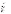US EPA ARCHIVE DOCUMENT

Both sites are contaminated with chlorinated solvents and have a wide range of levels of contamination in the media of interest.

This demonstration plan defines the:

- Roles and responsibilities of the demonstration participants
- Procedures governing demonstration activities such as sample collection, preparation, and analysis, and data collection and interpretation
- Experimental design
- Quality assurance/quality control (QA/QC) procedures for conducting the demonstration and for assessing the quality of the data generated
- Health and safety requirements for performing work at the two demonstration sites

#### **Acronyms**

ACE Alternating Chemical/Electron Ionization AFB Air Force Base BTEX Benzene, Toluene, Ethylbenzene, Xylene CBD Commerce Business Daily CFR Code of Federal Regulations CLP Contract Laboratory Program COC Chain of Custody CPR Cardio-pulmonary Resusciatation CRD-LV Characterization Research Division CSCT Consortium for Site Characterization Technology CVOC Chlorinated Volatile Organic Compounds D/NETDP Department of Defense/National Environmental Technology Demonstration Program DC Direct Current DCE Dichlorethylene DOD Department of Defense DOE Department of Energy EI Electron Ionization EI/CI Electron Ionization/Chemical Ionization EM Emission Mass Spectrometer EnTICE Environmental Technology Innovation Commercialization and Enhancement EPA Environmental Protection Agency ETI Environmental Technology Initiative FID Flame Ionization Detector FNF Filtered Noise Field FSP Field Sampling Plan FY Fiscal Year GC/MS Gas Chromatography/Mass Spectrometry GEL General Engineering Laboratories HASP Health and Safety Plan HSD Health and Safety Director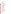| <b>ICR</b>               | Ion-Cyclotron Resonance                                                                   |
|--------------------------|-------------------------------------------------------------------------------------------|
| <b>ITER</b>              | <b>Innovative Technology Evaluation Report</b>                                            |
| $JP-4$                   | Jet Fuel                                                                                  |
| LRL.                     | Lower Recovery Limit                                                                      |
| MI                       | Michigan                                                                                  |
| MIM                      | Multiple Ion Monitor                                                                      |
| <b>MIMS</b>              | Membrane Inlet Mass Spectrometry                                                          |
| MS/MS                    | Mass Spectrometry/Mass Spectrometry                                                       |
| <b>MSDS</b>              | <b>Material Safety Data Sheet</b>                                                         |
| <b>NAPL</b>              | Non-aqueous Phase Liquid                                                                  |
| <b>NCIBRD</b>            | National Center for Integrated Bioremediation Research<br>and Development                 |
| <b>NEC</b>               | <b>National Electric Code</b>                                                             |
| NERL                     | National Exposure Research Laboratory                                                     |
| <b>NIOSH</b>             | National Institute for Occupational Safety and Health                                     |
| ORNL                     | Oak Ridge National Laboratory                                                             |
| OSHA                     | Occupational Safety and Health Administration                                             |
| PAH                      | Polyaromatic Hydrocarbon                                                                  |
| PС                       | <b>Personal Computer</b>                                                                  |
| <b>PCE</b>               | Tetrachloroethene                                                                         |
| РE                       | <b>Performance Evaluation</b>                                                             |
| <b>PFTBA</b>             | Perflourotributylamine                                                                    |
| PID                      | <b>Photoionization Detector</b>                                                           |
| <b>PPBW</b>              | Parts Per Billion by Weight                                                               |
| <b>PPE</b>               | Personal Protective Equipment                                                             |
| <b>PPMW</b>              | Parts Per Million by Weight                                                               |
| QA                       | <b>Quality Assurance</b>                                                                  |
| QAPP                     | <b>Quality Assurance Project Plan</b>                                                     |
| QC                       | <b>Quality Control</b>                                                                    |
| SAC                      | <b>Strategic Air Command</b>                                                              |
| SC                       | South Carolina                                                                            |
| <b>SHSO</b>              | Site Health and Safety Officer                                                            |
| <b>SIM</b>               | Selected Ion Monitoring                                                                   |
| <b>SNL</b>               | Sandia National Laboratories                                                              |
| SOP                      | <b>Standard Operating Procedure</b>                                                       |
| SRI-CI                   | Selective Reagent Ion Chemical Ionization                                                 |
| SRS                      | Savannah River Site                                                                       |
| SW-846<br>Method<br>8260 | Gas Chromatography/Mass Spectrometry for Volatile<br>Organics: Capillary Column Technique |
| <b>TA</b>                | <b>Traverse Analytical</b>                                                                |
| TBD                      | To Be Determined                                                                          |
| TCA                      | Trichloroethane                                                                           |
| <b>TCDD</b>              | Tetrachlorodibenzofuran                                                                   |
| <b>TCE</b>               | Trichloroethene                                                                           |